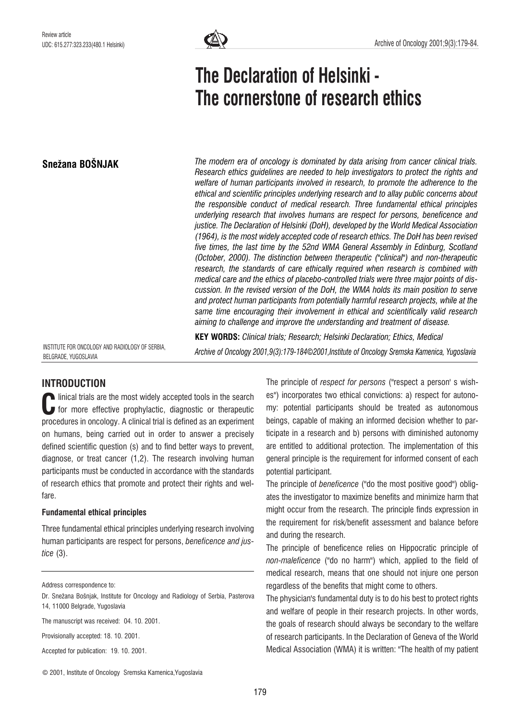Snežana BOŠNJAK



# The Declaration of Helsinki - The cornerstone of research ethics

The modern era of oncology is dominated by data arising from cancer clinical trials. Research ethics guidelines are needed to help investigators to protect the rights and welfare of human participants involved in research, to promote the adherence to the ethical and scientific principles underlying research and to allay public concerns about the responsible conduct of medical research. Three fundamental ethical principles underlying research that involves humans are respect for persons, beneficence and justice. The Declaration of Helsinki (DoH), developed by the World Medical Association (1964), is the most widely accepted code of research ethics. The DoH has been revised five times, the last time by the 52nd WMA General Assembly in Edinburg, Scotland (October, 2000). The distinction between therapeutic ("clinical") and non-therapeutic research, the standards of care ethically required when research is combined with medical care and the ethics of placebo-controlled trials were three major points of discussion. In the revised version of the DoH, the WMA holds its main position to serve and protect human participants from potentially harmful research projects, while at the same time encouraging their involvement in ethical and scientifically valid research aiming to challenge and improve the understanding and treatment of disease.

INSTITUTE FOR ONCOLOGY AND RADIOLOGY OF SERBIA, BELGRADE, YUGOSLAVIA

KEY WORDS: Clinical trials; Research; Helsinki Declaration; Ethics, Medical Archive of Oncology 2001,9(3):179-184*©*2001,Institute of Oncology Sremska Kamenica, Yugoslavia

# INTRODUCTION

linical trials are the most widely accepted tools in the search for more effective prophylactic, diagnostic or therapeutic procedures in oncology. A clinical trial is defined as an experiment on humans, being carried out in order to answer a precisely defined scientific question (s) and to find better ways to prevent, diagnose, or treat cancer (1,2). The research involving human participants must be conducted in accordance with the standards of research ethics that promote and protect their rights and welfare. C<br><sub>mo</sub>

# Fundamental ethical principles

Three fundamental ethical principles underlying research involving human participants are respect for persons, beneficence and justice (3).

Address correspondence to:

The manuscript was received: 04. 10. 2001.

Provisionally accepted: 18. 10. 2001.

Accepted for publication: 19. 10. 2001.

The principle of respect for persons ("respect a person' s wishes") incorporates two ethical convictions: a) respect for autonomy: potential participants should be treated as autonomous beings, capable of making an informed decision whether to participate in a research and b) persons with diminished autonomy are entitled to additional protection. The implementation of this general principle is the requirement for informed consent of each potential participant.

The principle of beneficence ("do the most positive good") obligates the investigator to maximize benefits and minimize harm that might occur from the research. The principle finds expression in the requirement for risk/benefit assessment and balance before and during the research.

The principle of beneficence relies on Hippocratic principle of non-maleficence ("do no harm") which, applied to the field of medical research, means that one should not injure one person regardless of the benefits that might come to others.

The physician's fundamental duty is to do his best to protect rights and welfare of people in their research projects. In other words, the goals of research should always be secondary to the welfare of research participants. In the Declaration of Geneva of the World Medical Association (WMA) it is written: "The health of my patient

© 2001, Institute of Oncology Sremska Kamenica,Yugoslavia

Dr. Snežana Bošniak, Institute for Oncology and Radiology of Serbia, Pasterova 14, 11000 Belgrade, Yugoslavia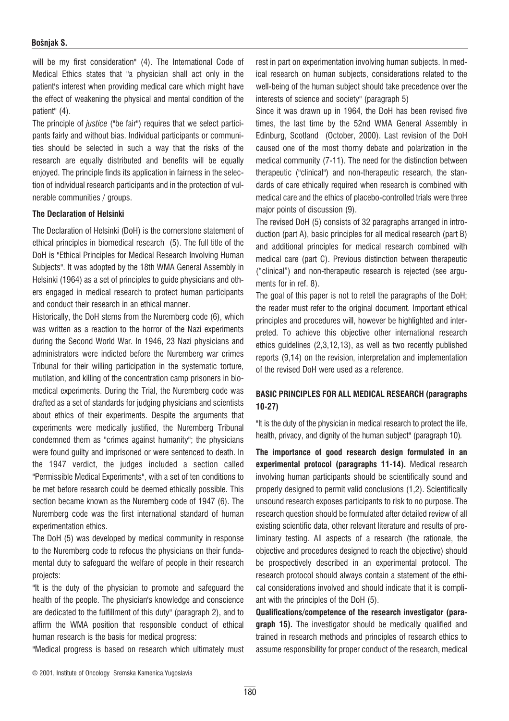#### Bošnjak S.

will be my first consideration" (4). The International Code of Medical Ethics states that "a physician shall act only in the patient's interest when providing medical care which might have the effect of weakening the physical and mental condition of the patient" (4).

The principle of justice ("be fair") requires that we select participants fairly and without bias. Individual participants or communities should be selected in such a way that the risks of the research are equally distributed and benefits will be equally enjoyed. The principle finds its application in fairness in the selection of individual research participants and in the protection of vulnerable communities / groups.

#### The Declaration of Helsinki

The Declaration of Helsinki (DoH) is the cornerstone statement of ethical principles in biomedical research (5). The full title of the DoH is "Ethical Principles for Medical Research Involving Human Subjects". It was adopted by the 18th WMA General Assembly in Helsinki (1964) as a set of principles to guide physicians and others engaged in medical research to protect human participants and conduct their research in an ethical manner.

Historically, the DoH stems from the Nuremberg code (6), which was written as a reaction to the horror of the Nazi experiments during the Second World War. In 1946, 23 Nazi physicians and administrators were indicted before the Nuremberg war crimes Tribunal for their willing participation in the systematic torture, mutilation, and killing of the concentration camp prisoners in biomedical experiments. During the Trial, the Nuremberg code was drafted as a set of standards for judging physicians and scientists about ethics of their experiments. Despite the arguments that experiments were medically justified, the Nuremberg Tribunal condemned them as "crimes against humanity"; the physicians were found guilty and imprisoned or were sentenced to death. In the 1947 verdict, the judges included a section called "Permissible Medical Experiments", with a set of ten conditions to be met before research could be deemed ethically possible. This section became known as the Nuremberg code of 1947 (6). The Nuremberg code was the first international standard of human experimentation ethics.

The DoH (5) was developed by medical community in response to the Nuremberg code to refocus the physicians on their fundamental duty to safeguard the welfare of people in their research projects:

"It is the duty of the physician to promote and safeguard the health of the people. The physician's knowledge and conscience are dedicated to the fulfillment of this duty" (paragraph 2), and to affirm the WMA position that responsible conduct of ethical human research is the basis for medical progress:

"Medical progress is based on research which ultimately must

rest in part on experimentation involving human subjects. In medical research on human subjects, considerations related to the well-being of the human subject should take precedence over the interests of science and society" (paragraph 5)

Since it was drawn up in 1964, the DoH has been revised five times, the last time by the 52nd WMA General Assembly in Edinburg, Scotland (October, 2000). Last revision of the DoH caused one of the most thorny debate and polarization in the medical community (7-11). The need for the distinction between therapeutic ("clinical") and non-therapeutic research, the standards of care ethically required when research is combined with medical care and the ethics of placebo-controlled trials were three major points of discussion (9).

The revised DoH (5) consists of 32 paragraphs arranged in introduction (part A), basic principles for all medical research (part B) and additional principles for medical research combined with medical care (part C). Previous distinction between therapeutic ("clinical") and non-therapeutic research is rejected (see arguments for in ref. 8).

The goal of this paper is not to retell the paragraphs of the DoH; the reader must refer to the original document. Important ethical principles and procedures will, however be highlighted and interpreted. To achieve this objective other international research ethics guidelines (2,3,12,13), as well as two recently published reports (9,14) on the revision, interpretation and implementation of the revised DoH were used as a reference.

## BASIC PRINCIPLES FOR ALL MEDICAL RESEARCH (paragraphs 10-27)

"It is the duty of the physician in medical research to protect the life, health, privacy, and dignity of the human subject" (paragraph 10).

The importance of good research design formulated in an experimental protocol (paragraphs 11-14). Medical research involving human participants should be scientifically sound and properly designed to permit valid conclusions (1,2). Scientifically unsound research exposes participants to risk to no purpose. The research question should be formulated after detailed review of all existing scientific data, other relevant literature and results of preliminary testing. All aspects of a research (the rationale, the objective and procedures designed to reach the objective) should be prospectively described in an experimental protocol. The research protocol should always contain a statement of the ethical considerations involved and should indicate that it is compliant with the principles of the DoH (5).

Qualifications/competence of the research investigator (para**graph 15).** The investigator should be medically qualified and trained in research methods and principles of research ethics to assume responsibility for proper conduct of the research, medical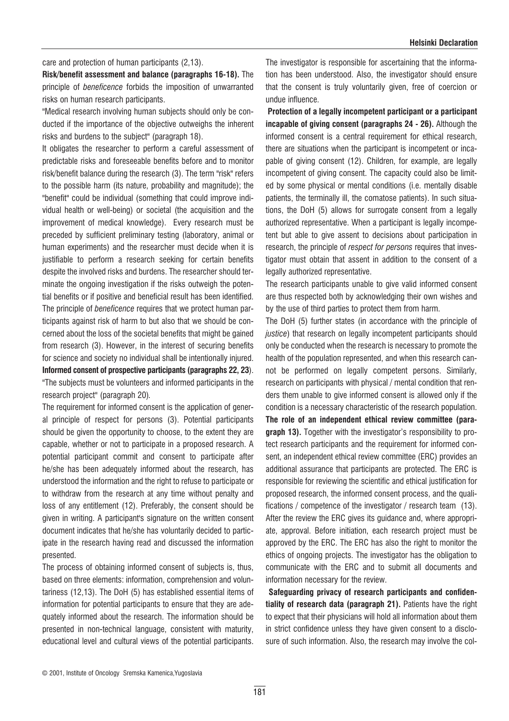care and protection of human participants (2,13).

Risk/benefit assessment and balance (paragraphs 16-18). The principle of beneficence forbids the imposition of unwarranted risks on human research participants.

"Medical research involving human subjects should only be conducted if the importance of the objective outweighs the inherent risks and burdens to the subject" (paragraph 18).

It obligates the researcher to perform a careful assessment of predictable risks and foreseeable benefits before and to monitor risk/benefit balance during the research (3). The term "risk" refers to the possible harm (its nature, probability and magnitude); the "benefit" could be individual (something that could improve individual health or well-being) or societal (the acquisition and the improvement of medical knowledge). Every research must be preceded by sufficient preliminary testing (laboratory, animal or human experiments) and the researcher must decide when it is justifiable to perform a research seeking for certain benefits despite the involved risks and burdens. The researcher should terminate the ongoing investigation if the risks outweigh the potential benefits or if positive and beneficial result has been identified. The principle of *beneficence* requires that we protect human participants against risk of harm to but also that we should be concerned about the loss of the societal benefits that might be gained from research (3). However, in the interest of securing benefits for science and society no individual shall be intentionally injured. Informed consent of prospective participants (paragraphs 22, 23).

"The subjects must be volunteers and informed participants in the research project" (paragraph 20).

The requirement for informed consent is the application of general principle of respect for persons (3). Potential participants should be given the opportunity to choose, to the extent they are capable, whether or not to participate in a proposed research. A potential participant commit and consent to participate after he/she has been adequately informed about the research, has understood the information and the right to refuse to participate or to withdraw from the research at any time without penalty and loss of any entitlement (12). Preferably, the consent should be given in writing. A participant's signature on the written consent document indicates that he/she has voluntarily decided to participate in the research having read and discussed the information presented.

The process of obtaining informed consent of subjects is, thus, based on three elements: information, comprehension and voluntariness (12,13). The DoH (5) has established essential items of information for potential participants to ensure that they are adequately informed about the research. The information should be presented in non-technical language, consistent with maturity, educational level and cultural views of the potential participants. The investigator is responsible for ascertaining that the information has been understood. Also, the investigator should ensure that the consent is truly voluntarily given, free of coercion or undue influence.

Protection of a legally incompetent participant or a participant incapable of giving consent (paragraphs 24 - 26). Although the informed consent is a central requirement for ethical research, there are situations when the participant is incompetent or incapable of giving consent (12). Children, for example, are legally incompetent of giving consent. The capacity could also be limited by some physical or mental conditions (i.e. mentally disable patients, the terminally ill, the comatose patients). In such situations, the DoH (5) allows for surrogate consent from a legally authorized representative. When a participant is legally incompetent but able to give assent to decisions about participation in research, the principle of respect for persons requires that investigator must obtain that assent in addition to the consent of a legally authorized representative.

The research participants unable to give valid informed consent are thus respected both by acknowledging their own wishes and by the use of third parties to protect them from harm.

The DoH (5) further states (in accordance with the principle of justice) that research on legally incompetent participants should only be conducted when the research is necessary to promote the health of the population represented, and when this research cannot be performed on legally competent persons. Similarly, research on participants with physical / mental condition that renders them unable to give informed consent is allowed only if the condition is a necessary characteristic of the research population. The role of an independent ethical review committee (paragraph 13). Together with the investigator's responsibility to protect research participants and the requirement for informed consent, an independent ethical review committee (ERC) provides an additional assurance that participants are protected. The ERC is responsible for reviewing the scientific and ethical justification for proposed research, the informed consent process, and the qualifications / competence of the investigator / research team (13). After the review the ERC gives its guidance and, where appropriate, approval. Before initiation, each research project must be approved by the ERC. The ERC has also the right to monitor the ethics of ongoing projects. The investigator has the obligation to communicate with the ERC and to submit all documents and information necessary for the review.

Safeguarding privacy of research participants and confidentiality of research data (paragraph 21). Patients have the right to expect that their physicians will hold all information about them in strict confidence unless they have given consent to a disclosure of such information. Also, the research may involve the col-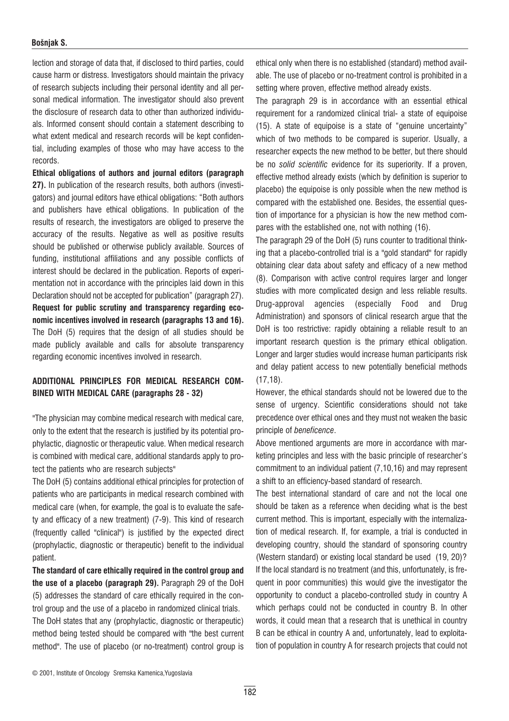#### Bošnjak S.

lection and storage of data that, if disclosed to third parties, could cause harm or distress. Investigators should maintain the privacy of research subjects including their personal identity and all personal medical information. The investigator should also prevent the disclosure of research data to other than authorized individuals. Informed consent should contain a statement describing to what extent medical and research records will be kept confidential, including examples of those who may have access to the records.

Ethical obligations of authors and journal editors (paragraph 27). In publication of the research results, both authors (investigators) and journal editors have ethical obligations: "Both authors and publishers have ethical obligations. In publication of the results of research, the investigators are obliged to preserve the accuracy of the results. Negative as well as positive results should be published or otherwise publicly available. Sources of funding, institutional affiliations and any possible conflicts of interest should be declared in the publication. Reports of experimentation not in accordance with the principles laid down in this Declaration should not be accepted for publication" (paragraph 27). Request for public scrutiny and transparency regarding economic incentives involved in research (paragraphs 13 and 16). The DoH (5) requires that the design of all studies should be made publicly available and calls for absolute transparency regarding economic incentives involved in research.

### ADDITIONAL PRINCIPLES FOR MEDICAL RESEARCH COM-BINED WITH MEDICAL CARE (paragraphs 28 - 32)

"The physician may combine medical research with medical care, only to the extent that the research is justified by its potential prophylactic, diagnostic or therapeutic value. When medical research is combined with medical care, additional standards apply to protect the patients who are research subjects"

The DoH (5) contains additional ethical principles for protection of patients who are participants in medical research combined with medical care (when, for example, the goal is to evaluate the safety and efficacy of a new treatment) (7-9). This kind of research (frequently called "clinical") is justified by the expected direct (prophylactic, diagnostic or therapeutic) benefit to the individual patient.

The standard of care ethically required in the control group and the use of a placebo (paragraph 29). Paragraph 29 of the DoH (5) addresses the standard of care ethically required in the control group and the use of a placebo in randomized clinical trials. The DoH states that any (prophylactic, diagnostic or therapeutic)

method being tested should be compared with "the best current method". The use of placebo (or no-treatment) control group is

ethical only when there is no established (standard) method available. The use of placebo or no-treatment control is prohibited in a setting where proven, effective method already exists.

The paragraph 29 is in accordance with an essential ethical requirement for a randomized clinical trial- a state of equipoise (15). A state of equipoise is a state of "genuine uncertainty" which of two methods to be compared is superior. Usually, a researcher expects the new method to be better, but there should be no solid scientific evidence for its superiority. If a proven, effective method already exists (which by definition is superior to placebo) the equipoise is only possible when the new method is compared with the established one. Besides, the essential question of importance for a physician is how the new method compares with the established one, not with nothing (16).

The paragraph 29 of the DoH (5) runs counter to traditional thinking that a placebo-controlled trial is a "gold standard" for rapidly obtaining clear data about safety and efficacy of a new method (8). Comparison with active control requires larger and longer studies with more complicated design and less reliable results. Drug-approval agencies (especially Food and Drug Administration) and sponsors of clinical research argue that the DoH is too restrictive: rapidly obtaining a reliable result to an important research question is the primary ethical obligation. Longer and larger studies would increase human participants risk and delay patient access to new potentially beneficial methods (17,18).

However, the ethical standards should not be lowered due to the sense of urgency. Scientific considerations should not take precedence over ethical ones and they must not weaken the basic principle of beneficence.

Above mentioned arguments are more in accordance with marketing principles and less with the basic principle of researcher's commitment to an individual patient (7,10,16) and may represent a shift to an efficiency-based standard of research.

The best international standard of care and not the local one should be taken as a reference when deciding what is the best current method. This is important, especially with the internalization of medical research. If, for example, a trial is conducted in developing country, should the standard of sponsoring country (Western standard) or existing local standard be used (19, 20)? If the local standard is no treatment (and this, unfortunately, is frequent in poor communities) this would give the investigator the opportunity to conduct a placebo-controlled study in country A which perhaps could not be conducted in country B. In other words, it could mean that a research that is unethical in country B can be ethical in country A and, unfortunately, lead to exploitation of population in country A for research projects that could not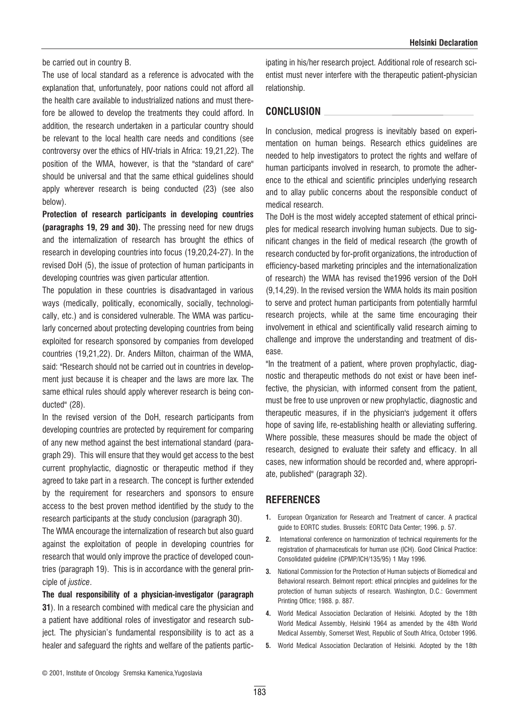be carried out in country B.

The use of local standard as a reference is advocated with the explanation that, unfortunately, poor nations could not afford all the health care available to industrialized nations and must therefore be allowed to develop the treatments they could afford. In addition, the research undertaken in a particular country should be relevant to the local health care needs and conditions (see controversy over the ethics of HIV-trials in Africa: 19,21,22). The position of the WMA, however, is that the "standard of care" should be universal and that the same ethical guidelines should apply wherever research is being conducted (23) (see also below).

Protection of research participants in developing countries (paragraphs 19, 29 and 30). The pressing need for new drugs and the internalization of research has brought the ethics of research in developing countries into focus (19,20,24-27). In the revised DoH (5), the issue of protection of human participants in developing countries was given particular attention.

The population in these countries is disadvantaged in various ways (medically, politically, economically, socially, technologically, etc.) and is considered vulnerable. The WMA was particularly concerned about protecting developing countries from being exploited for research sponsored by companies from developed countries (19,21,22). Dr. Anders Milton, chairman of the WMA, said: "Research should not be carried out in countries in development just because it is cheaper and the laws are more lax. The same ethical rules should apply wherever research is being conducted" (28).

In the revised version of the DoH, research participants from developing countries are protected by requirement for comparing of any new method against the best international standard (paragraph 29). This will ensure that they would get access to the best current prophylactic, diagnostic or therapeutic method if they agreed to take part in a research. The concept is further extended by the requirement for researchers and sponsors to ensure access to the best proven method identified by the study to the research participants at the study conclusion (paragraph 30).

The WMA encourage the internalization of research but also guard against the exploitation of people in developing countries for research that would only improve the practice of developed countries (paragraph 19). This is in accordance with the general principle of *justice*.

The dual responsibility of a physician-investigator (paragraph 31). In a research combined with medical care the physician and a patient have additional roles of investigator and research subject. The physician's fundamental responsibility is to act as a healer and safeguard the rights and welfare of the patients participating in his/her research project. Additional role of research scientist must never interfere with the therapeutic patient-physician relationship.

#### CONCLUSION

In conclusion, medical progress is inevitably based on experimentation on human beings. Research ethics guidelines are needed to help investigators to protect the rights and welfare of human participants involved in research, to promote the adherence to the ethical and scientific principles underlying research and to allay public concerns about the responsible conduct of medical research.

The DoH is the most widely accepted statement of ethical principles for medical research involving human subjects. Due to significant changes in the field of medical research (the growth of research conducted by for-profit organizations, the introduction of efficiency-based marketing principles and the internationalization of research) the WMA has revised the1996 version of the DoH (9,14,29). In the revised version the WMA holds its main position to serve and protect human participants from potentially harmful research projects, while at the same time encouraging their involvement in ethical and scientifically valid research aiming to challenge and improve the understanding and treatment of disease.

"In the treatment of a patient, where proven prophylactic, diagnostic and therapeutic methods do not exist or have been ineffective, the physician, with informed consent from the patient, must be free to use unproven or new prophylactic, diagnostic and therapeutic measures, if in the physician's judgement it offers hope of saving life, re-establishing health or alleviating suffering. Where possible, these measures should be made the object of research, designed to evaluate their safety and efficacy. In all cases, new information should be recorded and, where appropriate, published" (paragraph 32).

# **REFERENCES**

- 1. European Organization for Research and Treatment of cancer. A practical guide to EORTC studies. Brussels: EORTC Data Center; 1996. p. 57.
- 2. International conference on harmonization of technical requirements for the registration of pharmaceuticals for human use (ICH). Good Clinical Practice: Consolidated guideline (CPMP/ICH/135/95) 1 May 1996.
- 3. National Commission for the Protection of Human subjects of Biomedical and Behavioral research. Belmont report: ethical principles and guidelines for the protection of human subjects of research. Washington, D.C.: Government Printing Office; 1988. p. 887.
- 4. World Medical Association Declaration of Helsinki. Adopted by the 18th World Medical Assembly, Helsinki 1964 as amended by the 48th World Medical Assembly, Somerset West, Republic of South Africa, October 1996.
- 5. World Medical Association Declaration of Helsinki. Adopted by the 18th